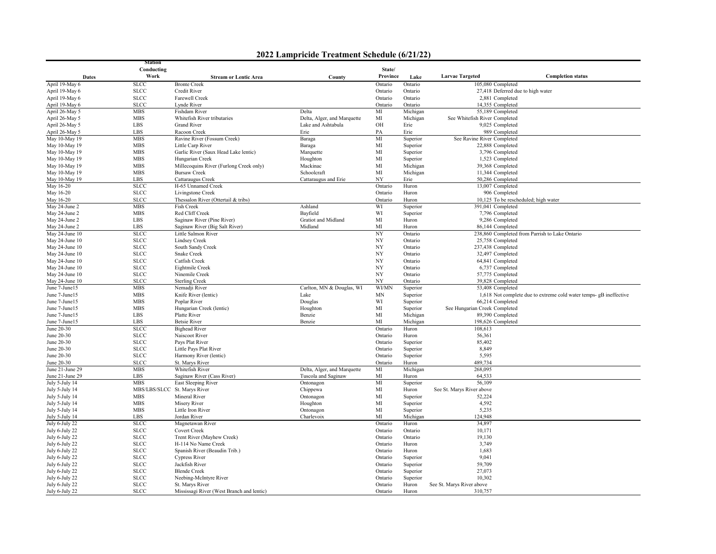|  | 2022 Lampricide Treatment Schedule (6/21/22) |  |  |
|--|----------------------------------------------|--|--|
|--|----------------------------------------------|--|--|

|                                  | <b>Station</b>               |                                           |                             |                    |                      |                                                      |                                                                    |
|----------------------------------|------------------------------|-------------------------------------------|-----------------------------|--------------------|----------------------|------------------------------------------------------|--------------------------------------------------------------------|
|                                  | Conducting<br>Work           |                                           |                             | State/             |                      |                                                      |                                                                    |
| <b>Dates</b>                     |                              | <b>Stream or Lentic Area</b>              | County                      | Province           | Lake                 | <b>Larvae Targeted</b>                               | <b>Completion status</b>                                           |
| April 19-May 6                   | <b>SLCC</b>                  | <b>Bronte Creek</b><br>Credit River       |                             | Ontario            | Ontario<br>Ontario   | 105,080 Completed                                    |                                                                    |
| April 19-May 6<br>April 19-May 6 | <b>SLCC</b><br><b>SLCC</b>   | Farewell Creek                            |                             | Ontario<br>Ontario | Ontario              | 27,418 Deferred due to high water<br>2,881 Completed |                                                                    |
| April 19-May 6                   | <b>SLCC</b>                  | Lynde River                               |                             | Ontario            | Ontario              | 14,355 Completed                                     |                                                                    |
| April 26-May 5                   | <b>MBS</b>                   | Fishdam River                             | Delta                       | MI                 | Michigan             | 55,189 Completed                                     |                                                                    |
| April 26-May 5                   | <b>MBS</b>                   | Whitefish River tributaries               | Delta, Alger, and Marquette | MI                 | Michigan             | See Whitefish River Completed                        |                                                                    |
| April 26-May 5                   | LBS                          | <b>Grand River</b>                        | Lake and Ashtabula          | OH                 | Erie                 | 9,025 Completed                                      |                                                                    |
| April 26-May 5                   | LBS                          | Racoon Creek                              | Erie                        | PA                 | Erie                 | 989 Completed                                        |                                                                    |
| May 10-May 19                    | <b>MBS</b>                   | Ravine River (Fossum Creek)               | Baraga                      | MI                 | Superior             | See Ravine River Completed                           |                                                                    |
| May 10-May 19                    | <b>MBS</b>                   | Little Carp River                         | Baraga                      | $\rm MI$           | Superior             | 22,888 Completed                                     |                                                                    |
| May 10-May 19                    | <b>MBS</b>                   | Garlic River (Saux Head Lake lentic)      | Marquette                   | MI                 | Superior             | 3,796 Completed                                      |                                                                    |
| May 10-May 19                    | <b>MBS</b>                   | Hungarian Creek                           | Houghton                    | MI                 | Superior             | 1,523 Completed                                      |                                                                    |
| May 10-May 19                    | <b>MBS</b>                   | Millecoquins River (Furlong Creek only)   | Mackinac                    | MI                 | Michigan             | 39,368 Completed                                     |                                                                    |
| May 10-May 19                    | <b>MBS</b>                   | <b>Bursaw Creek</b>                       | Schoolcraft                 | MI                 | Michigan             | 11,344 Completed                                     |                                                                    |
| May 10-May 19                    | LBS                          | Cattaraugus Creek                         | Cattaraugus and Erie        | NY                 | Erie                 | 50,286 Completed                                     |                                                                    |
| May 16-20                        | <b>SLCC</b>                  | H-65 Unnamed Creek                        |                             | Ontario            | Huron                | 13,007 Completed                                     |                                                                    |
| May 16-20                        | <b>SLCC</b>                  | Livingstone Creek                         |                             | Ontario            | Huron                | 906 Completed                                        |                                                                    |
| May 16-20                        | <b>SLCC</b>                  | Thessalon River (Ottertail & tribs)       |                             | Ontario            | Huron                |                                                      | 10,125 To be rescheduled; high water                               |
| May 24-June 2                    | <b>MBS</b>                   | Fish Creek                                | Ashland                     | WI                 | Superior             | 391,041 Completed                                    |                                                                    |
| May 24-June 2                    | <b>MBS</b>                   | Red Cliff Creek                           | Bayfield                    | WI                 | Superior             | 7,796 Completed                                      |                                                                    |
| May 24-June 2                    | LBS                          | Saginaw River (Pine River)                | Gratiot and Midland         | MI                 | Huron                | 9,286 Completed                                      |                                                                    |
| May 24-June 2                    | LBS                          | Saginaw River (Big Salt River)            | Midland                     | MI                 | Huron                | 86,144 Completed                                     |                                                                    |
| May 24-June 10                   | <b>SLCC</b>                  | Little Salmon River                       |                             | NY                 | Ontario              |                                                      | 238,860 Completed from Parrish to Lake Ontario                     |
| May 24-June 10                   | <b>SLCC</b>                  | <b>Lindsey Creek</b>                      |                             | NY                 | Ontario              | 25,758 Completed                                     |                                                                    |
| May 24-June 10                   | <b>SLCC</b>                  | South Sandy Creek                         |                             | NY                 | Ontario              | 237,438 Completed                                    |                                                                    |
| May 24-June 10                   | <b>SLCC</b>                  | Snake Creek                               |                             | NY                 | Ontario              | 32,497 Completed                                     |                                                                    |
| May 24-June 10                   | <b>SLCC</b>                  | Catfish Creek                             |                             | NY                 | Ontario              | 64,841 Completed                                     |                                                                    |
| May 24-June 10                   | <b>SLCC</b>                  | Eightmile Creek                           |                             | NY                 | Ontario              | 6,737 Completed                                      |                                                                    |
| May 24-June 10                   | <b>SLCC</b>                  | Ninemile Creek                            |                             | NY                 | Ontario              | 57,775 Completed                                     |                                                                    |
| May 24-June 10<br>June 7-June15  | <b>SLCC</b><br><b>MBS</b>    | <b>Sterling Creek</b>                     | Carlton, MN & Douglas, WI   | NY<br><b>WI/MN</b> | Ontario              | 39,828 Completed<br>53,408 Completed                 |                                                                    |
| June 7-June15                    | <b>MBS</b>                   | Nemadji River<br>Knife River (lentic)     |                             | MN                 | Superior             |                                                      |                                                                    |
| June 7-June15                    | <b>MBS</b>                   | Poplar River                              | Lake<br>Douglas             | WI                 | Superior<br>Superior | 66,214 Completed                                     | 1,618 Not complete due to extreme cold water temps- gB ineffective |
| June 7-June15                    | <b>MBS</b>                   | Hungarian Creek (lentic)                  | Houghton                    | MI                 | Superior             | See Hungarian Creek Completed                        |                                                                    |
| June 7-June15                    | LBS                          | Platte River                              | Benzie                      | MI                 | Michigan             | 89,390 Completed                                     |                                                                    |
| June 7-June15                    | LBS                          | <b>Betsie River</b>                       | Benzie                      | MI                 | Michigan             | 198,626 Completed                                    |                                                                    |
| June 20-30                       | <b>SLCC</b>                  | <b>Bighead River</b>                      |                             | Ontario            | Huron                | 108,613                                              |                                                                    |
| June 20-30                       | <b>SLCC</b>                  | Naiscoot River                            |                             | Ontario            | Huron                | 56,361                                               |                                                                    |
| June 20-30                       | <b>SLCC</b>                  | Pays Plat River                           |                             | Ontario            | Superior             | 85,402                                               |                                                                    |
| June 20-30                       | <b>SLCC</b>                  | Little Pays Plat River                    |                             | Ontario            | Superior             | 8,849                                                |                                                                    |
| June 20-30                       | <b>SLCC</b>                  | Harmony River (lentic)                    |                             | Ontario            | Superior             | 5,595                                                |                                                                    |
| June 20-30                       | <b>SLCC</b>                  | St. Marys River                           |                             | Ontario            | Huron                | 489,734                                              |                                                                    |
| June 21-June 29                  | <b>MBS</b>                   | Whitefish River                           | Delta, Alger, and Marquette | MI                 | Michigan             | 268,095                                              |                                                                    |
| June 21-June 29                  | LBS                          | Saginaw River (Cass River)                | Tuscola and Saginaw         | MI                 | Huron                | 64,533                                               |                                                                    |
| July 5-July 14                   | <b>MBS</b>                   | East Sleeping River                       | Ontonagon                   | MI                 | Superior             | 56,109                                               |                                                                    |
| July 5-July 14                   | MBS/LBS/SLCC St. Marys River |                                           | Chippewa                    | MI                 | Huron                | See St. Marys River above                            |                                                                    |
| July 5-July 14                   | MBS                          | Mineral River                             | Ontonagon                   | MI                 | Superior             | 52,224                                               |                                                                    |
| July 5-July 14                   | <b>MBS</b>                   | <b>Misery River</b>                       | Houghton                    | MI                 | Superior             | 4,592                                                |                                                                    |
| July 5-July 14                   | <b>MBS</b>                   | Little Iron River                         | Ontonagon                   | MI                 | Superior             | 5,235                                                |                                                                    |
| July 5-July 14                   | <b>LBS</b>                   | Jordan River                              | Charlevoix                  | MI                 | Michigan             | 124,948                                              |                                                                    |
| July 6-July 22                   | <b>SLCC</b>                  | Magnetawan River                          |                             | Ontario            | Huron                | 34,897                                               |                                                                    |
| July 6-July 22                   | <b>SLCC</b>                  | Covert Creek                              |                             | Ontario            | Ontario              | 10,171                                               |                                                                    |
| July 6-July 22                   | <b>SLCC</b>                  | Trent River (Mayhew Creek)                |                             | Ontario            | Ontario              | 19,130                                               |                                                                    |
| July 6-July 22                   | <b>SLCC</b>                  | H-114 No Name Creek                       |                             | Ontario            | Huron                | 3,749                                                |                                                                    |
| July 6-July 22                   | <b>SLCC</b>                  | Spanish River (Beaudin Trib.)             |                             | Ontario            | Huron                | 1,683                                                |                                                                    |
| July 6-July 22                   | <b>SLCC</b>                  | <b>Cypress River</b>                      |                             | Ontario            | Superior             | 9,041<br>59,709                                      |                                                                    |
| July 6-July 22                   | <b>SLCC</b><br><b>SLCC</b>   | Jackfish River                            |                             | Ontario            | Superior             | 27,073                                               |                                                                    |
| July 6-July 22                   | <b>SLCC</b>                  | <b>Blende</b> Creek                       |                             | Ontario<br>Ontario | Superior             | 10,302                                               |                                                                    |
| July 6-July 22<br>July 6-July 22 | <b>SLCC</b>                  | Neebing-McIntyre River<br>St. Marys River |                             | Ontario            | Superior<br>Huron    | See St. Marys River above                            |                                                                    |
| July 6-July 22                   | <b>SLCC</b>                  | Mississagi River (West Branch and lentic) |                             | Ontario            | Huron                | 310,757                                              |                                                                    |
|                                  |                              |                                           |                             |                    |                      |                                                      |                                                                    |